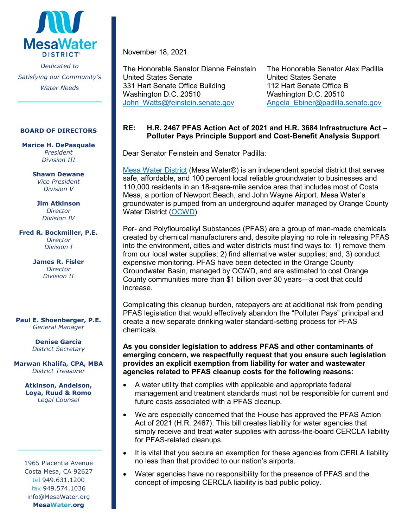

#### **BOARD OF DIRECTORS**

**Marice H. DePasquale** *President Division III*

> **Shawn Dewane** *Vice President Division V*

**Jim Atkinson** *Director Division IV*

**Fred R. Bockmiller, P.E.** *Director Division I*

> **James R. Fisler** *Director Division II*

#### **Paul E. Shoenberger, P.E.** *General Manager*

**Denise Garcia** *District Secretary*

**Marwan Khalifa, CPA, MBA** *District Treasurer*

> **Atkinson, Andelson, Loya, Ruud & Romo** *Legal Counsel*

1965 Placentia Avenue Costa Mesa, CA 92627 tel 949.631.1200 fax 949.574.1036 info@MesaWater.org **MesaWater.org**

November 18, 2021

The Honorable Senator Dianne Feinstein The Honorable Senator Alex Padilla United States Senate United States Senate 331 Hart Senate Office Building 112 Hart Senate Office B Washington D.C. 20510<br>John Watts@feinstein.senate.gov Angela Ebiner@padilla.

[Angela\\_Ebiner@padilla.senate.gov](mailto:Angela_Ebiner@padilla.senate.gov)

# **RE: H.R. 2467 PFAS Action Act of 2021 and H.R. 3684 Infrastructure Act – Polluter Pays Principle Support and Cost-Benefit Analysis Support**

Dear Senator Feinstein and Senator Padilla:

[Mesa Water District](http://www.mesawater.org/) (Mesa Water®) is an independent special district that serves safe, affordable, and 100 percent local reliable groundwater to businesses and 110,000 residents in an 18-sqare-mile service area that includes most of Costa Mesa, a portion of Newport Beach, and John Wayne Airport. Mesa Water's groundwater is pumped from an underground aquifer managed by Orange County Water District [\(OCWD\)](http://www.ocwd.com/).

Per- and Polyflouroalkyl Substances (PFAS) are a group of man-made chemicals created by chemical manufacturers and, despite playing no role in releasing PFAS into the environment, cities and water districts must find ways to: 1) remove them from our local water supplies; 2) find alternative water supplies; and, 3) conduct expensive monitoring. PFAS have been detected in the Orange County Groundwater Basin, managed by OCWD, and are estimated to cost Orange County communities more than \$1 billion over 30 years—a cost that could increase.

Complicating this cleanup burden, ratepayers are at additional risk from pending PFAS legislation that would effectively abandon the "Polluter Pays" principal and create a new separate drinking water standard-setting process for PFAS chemicals.

### **As you consider legislation to address PFAS and other contaminants of emerging concern, we respectfully request that you ensure such legislation provides an explicit exemption from liability for water and wastewater agencies related to PFAS cleanup costs for the following reasons:**

- A water utility that complies with applicable and appropriate federal management and treatment standards must not be responsible for current and future costs associated with a PFAS cleanup.
- We are especially concerned that the House has approved the PFAS Action Act of 2021 (H.R. 2467). This bill creates liability for water agencies that simply receive and treat water supplies with across-the-board CERCLA liability for PFAS-related cleanups.
- It is vital that you secure an exemption for these agencies from CERLA liability no less than that provided to our nation's airports.
- Water agencies have no responsibility for the presence of PFAS and the concept of imposing CERCLA liability is bad public policy.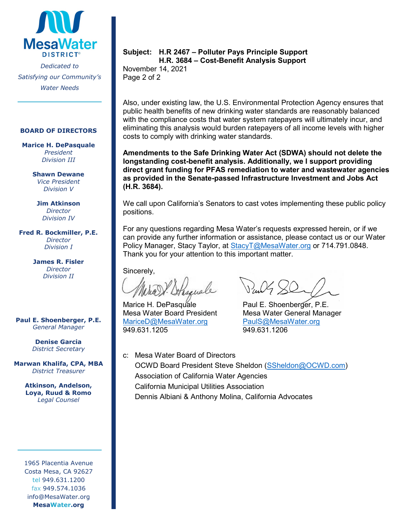

#### **BOARD OF DIRECTORS**

**Marice H. DePasquale** *President Division III*

> **Shawn Dewane** *Vice President Division V*

**Jim Atkinson** *Director Division IV*

**Fred R. Bockmiller, P.E.** *Director Division I*

> **James R. Fisler** *Director Division II*

**Paul E. Shoenberger, P.E.** *General Manager*

> **Denise Garcia** *District Secretary*

**Marwan Khalifa, CPA, MBA** *District Treasurer*

> **Atkinson, Andelson, Loya, Ruud & Romo** *Legal Counsel*

1965 Placentia Avenue Costa Mesa, CA 92627 tel 949.631.1200 fax 949.574.1036 info@MesaWater.org **MesaWater.org**

### **Subject: H.R 2467 – Polluter Pays Principle Support H.R. 3684 – Cost-Benefit Analysis Support**

November 14, 2021 Page 2 of 2

Also, under existing law, the U.S. Environmental Protection Agency ensures that public health benefits of new drinking water standards are reasonably balanced with the compliance costs that water system ratepayers will ultimately incur, and eliminating this analysis would burden ratepayers of all income levels with higher costs to comply with drinking water standards.

**Amendments to the Safe Drinking Water Act (SDWA) should not delete the longstanding cost-benefit analysis. Additionally, we I support providing direct grant funding for PFAS remediation to water and wastewater agencies as provided in the Senate-passed Infrastructure Investment and Jobs Act (H.R. 3684).**

We call upon California's Senators to cast votes implementing these public policy positions.

For any questions regarding Mesa Water's requests expressed herein, or if we can provide any further information or assistance, please contact us or our Water Policy Manager, Stacy Taylor, at Stacy T@MesaWater.org or 714.791.0848. Thank you for your attention to this important matter.

Sincerely,

Marice H. DePasquale Paul E. Shoenberǵer, P.E.<br>Mesa Water Board President Mesa Water General Mana [MariceD@MesaWater.org](mailto:MariceD@MesaWater.org)<br>949.631.1205

Mesa Water General Manager<br>PaulS@MesaWater.org 949.631.1205 949.631.1206

c: Mesa Water Board of Directors

OCWD Board President Steve Sheldon [\(SSheldon@OCWD.com\)](mailto:SSheldon@OCWD.com) Association of California Water Agencies California Municipal Utilities Association Dennis Albiani & Anthony Molina, California Advocates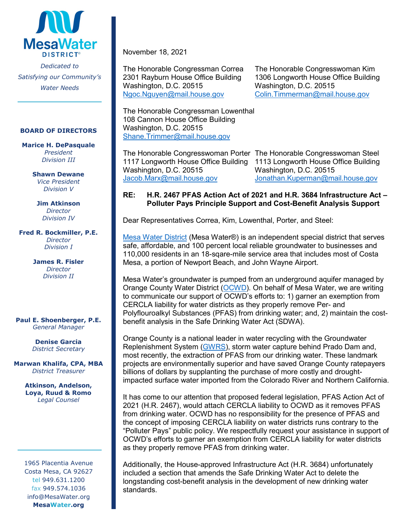

#### **BOARD OF DIRECTORS**

**Marice H. DePasquale** *President Division III*

> **Shawn Dewane** *Vice President Division V*

**Jim Atkinson** *Director Division IV*

**Fred R. Bockmiller, P.E.** *Director Division I*

> **James R. Fisler** *Director Division II*

**Paul E. Shoenberger, P.E.** *General Manager*

> **Denise Garcia** *District Secretary*

**Marwan Khalifa, CPA, MBA** *District Treasurer*

> **Atkinson, Andelson, Loya, Ruud & Romo** *Legal Counsel*

1965 Placentia Avenue Costa Mesa, CA 92627 tel 949.631.1200 fax 949.574.1036 info@MesaWater.org **MesaWater.org**

November 18, 2021

Washington, D.C. 20515

Washington, D.C. 20515 Washington, D.C. 20515 [Ngoc.Nguyen@mail.house.gov](mailto:Ngoc.Nguyen@mail.house.gov) [Colin.Timmerman@mail.house.gov](mailto:Colin.Timmerman@mail.house.gov)

The Honorable Congressman Correa The Honorable Congresswoman Kim<br>2301 Rayburn House Office Building 1306 Longworth House Office Building 1306 Longworth House Office Building

Washington, D.C. 20515 Washington, D.C. 20515

[Shane.Trimmer@mail.house.gov](mailto:Shane.Trimmer@mail.house.gov)

The Honorable Congressman Lowenthal 108 Cannon House Office Building

The Honorable Congresswoman Porter The Honorable Congresswoman Steel 1117 Longworth House Office Building 1113 Longworth House Office Building [Jacob.Marx@mail.house.gov](mailto:Jacob.Marx@mail.house.gov) [Jonathan.Kuperman@mail.house.gov](mailto:Jonathan.Kuperman@mail.house.gov)

# **RE: H.R. 2467 PFAS Action Act of 2021 and H.R. 3684 Infrastructure Act – Polluter Pays Principle Support and Cost-Benefit Analysis Support**

Dear Representatives Correa, Kim, Lowenthal, Porter, and Steel:

[Mesa Water District](http://www.mesawater.org/) (Mesa Water®) is an independent special district that serves safe, affordable, and 100 percent local reliable groundwater to businesses and 110,000 residents in an 18-sqare-mile service area that includes most of Costa Mesa, a portion of Newport Beach, and John Wayne Airport.

Mesa Water's groundwater is pumped from an underground aquifer managed by Orange County Water District [\(OCWD\)](http://www.ocwd.com/). On behalf of Mesa Water, we are writing to communicate our support of OCWD's efforts to: 1) garner an exemption from CERCLA liability for water districts as they properly remove Per- and Polyflouroalkyl Substances (PFAS) from drinking water; and, 2) maintain the costbenefit analysis in the Safe Drinking Water Act (SDWA).

Orange County is a national leader in water recycling with the Groundwater Replenishment System [\(GWRS\)](https://www.ocwd.com/gwrs/), storm water capture behind Prado Dam and, most recently, the extraction of PFAS from our drinking water. These landmark projects are environmentally superior and have saved Orange County ratepayers billions of dollars by supplanting the purchase of more costly and droughtimpacted surface water imported from the Colorado River and Northern California.

It has come to our attention that proposed federal legislation, PFAS Action Act of 2021 (H.R. 2467), would attach CERCLA liability to OCWD as it removes PFAS from drinking water. OCWD has no responsibility for the presence of PFAS and the concept of imposing CERCLA liability on water districts runs contrary to the "Polluter Pays" public policy. We respectfully request your assistance in support of OCWD's efforts to garner an exemption from CERCLA liability for water districts as they properly remove PFAS from drinking water.

Additionally, the House-approved Infrastructure Act (H.R. 3684) unfortunately included a section that amends the Safe Drinking Water Act to delete the longstanding cost-benefit analysis in the development of new drinking water standards.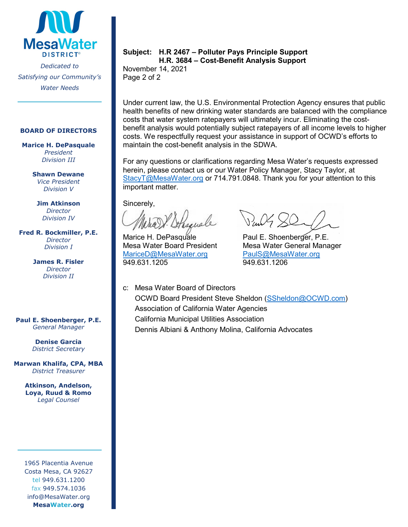

#### **BOARD OF DIRECTORS**

**Marice H. DePasquale** *President Division III*

> **Shawn Dewane** *Vice President Division V*

**Jim Atkinson** *Director Division IV*

**Fred R. Bockmiller, P.E.** *Director Division I*

> **James R. Fisler** *Director Division II*

**Paul E. Shoenberger, P.E.** *General Manager*

> **Denise Garcia** *District Secretary*

**Marwan Khalifa, CPA, MBA** *District Treasurer*

> **Atkinson, Andelson, Loya, Ruud & Romo** *Legal Counsel*

1965 Placentia Avenue Costa Mesa, CA 92627 tel 949.631.1200 fax 949.574.1036 info@MesaWater.org **MesaWater.org**

## **Subject: H.R 2467 – Polluter Pays Principle Support H.R. 3684 – Cost-Benefit Analysis Support**

November 14, 2021 Page 2 of 2

Under current law, the U.S. Environmental Protection Agency ensures that public health benefits of new drinking water standards are balanced with the compliance costs that water system ratepayers will ultimately incur. Eliminating the costbenefit analysis would potentially subject ratepayers of all income levels to higher costs. We respectfully request your assistance in support of OCWD's efforts to maintain the cost-benefit analysis in the SDWA.

For any questions or clarifications regarding Mesa Water's requests expressed herein, please contact us or our Water Policy Manager, Stacy Taylor, at [StacyT@MesaWater.org](mailto:StacyT@MesaWater.org) or 714.791.0848. Thank you for your attention to this important matter.

Sincerely,

Marice H. DePasquale **Paul E. Shoenberger, P.E.**<br>Mesa Water Board President Mesa Water General Mana [MariceD@MesaWater.org](mailto:MariceD@MesaWater.org) [PaulS@MesaWater.org](mailto:PaulS@MesaWater.org) 949.631.1205 949.631.1206

Mesa Water General Manager

c: Mesa Water Board of Directors OCWD Board President Steve Sheldon [\(SSheldon@OCWD.com\)](mailto:SSheldon@OCWD.com) Association of California Water Agencies California Municipal Utilities Association Dennis Albiani & Anthony Molina, California Advocates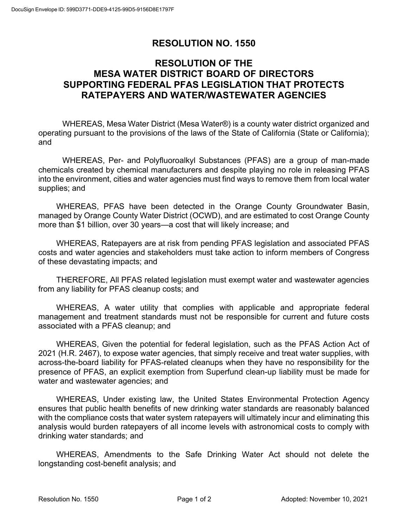# **RESOLUTION NO. 1550**

# **RESOLUTION OF THE MESA WATER DISTRICT BOARD OF DIRECTORS SUPPORTING FEDERAL PFAS LEGISLATION THAT PROTECTS RATEPAYERS AND WATER/WASTEWATER AGENCIES**

WHEREAS, Mesa Water District (Mesa Water®) is a county water district organized and operating pursuant to the provisions of the laws of the State of California (State or California); and

WHEREAS, Per- and Polyfluoroalkyl Substances (PFAS) are a group of man-made chemicals created by chemical manufacturers and despite playing no role in releasing PFAS into the environment, cities and water agencies must find ways to remove them from local water supplies; and

WHEREAS, PFAS have been detected in the Orange County Groundwater Basin, managed by Orange County Water District (OCWD), and are estimated to cost Orange County more than \$1 billion, over 30 years—a cost that will likely increase; and

WHEREAS, Ratepayers are at risk from pending PFAS legislation and associated PFAS costs and water agencies and stakeholders must take action to inform members of Congress of these devastating impacts; and

THEREFORE, All PFAS related legislation must exempt water and wastewater agencies from any liability for PFAS cleanup costs; and

WHEREAS, A water utility that complies with applicable and appropriate federal management and treatment standards must not be responsible for current and future costs associated with a PFAS cleanup; and

WHEREAS, Given the potential for federal legislation, such as the PFAS Action Act of 2021 (H.R. 2467), to expose water agencies, that simply receive and treat water supplies, with across-the-board liability for PFAS-related cleanups when they have no responsibility for the presence of PFAS, an explicit exemption from Superfund clean-up liability must be made for water and wastewater agencies; and

WHEREAS, Under existing law, the United States Environmental Protection Agency ensures that public health benefits of new drinking water standards are reasonably balanced with the compliance costs that water system ratepayers will ultimately incur and eliminating this analysis would burden ratepayers of all income levels with astronomical costs to comply with drinking water standards; and

WHEREAS, Amendments to the Safe Drinking Water Act should not delete the longstanding cost-benefit analysis; and